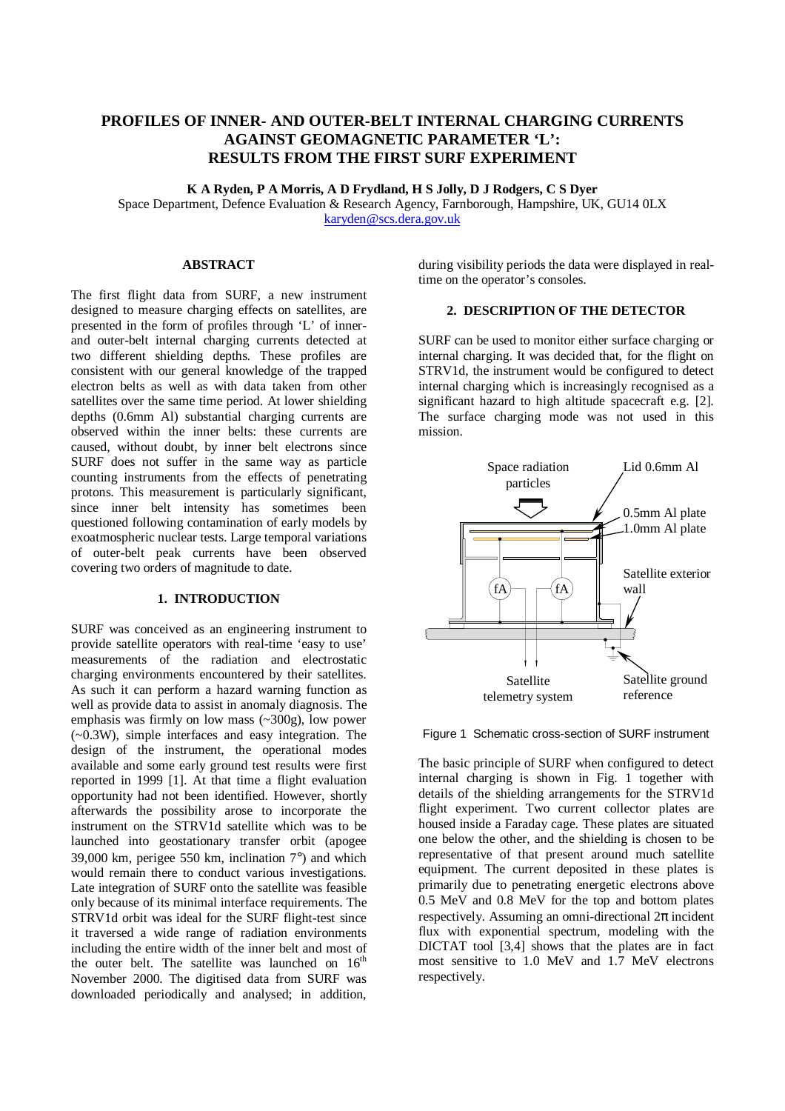# **PROFILES OF INNER- AND OUTER-BELT INTERNAL CHARGING CURRENTS AGAINST GEOMAGNETIC PARAMETER 'L': RESULTS FROM THE FIRST SURF EXPERIMENT**

**K A Ryden, P A Morris, A D Frydland, H S Jolly, D J Rodgers, C S Dyer**

Space Department, Defence Evaluation & Research Agency, Farnborough, Hampshire, UK, GU14 0LX karyden@scs.dera.gov.uk

# **ABSTRACT**

The first flight data from SURF, a new instrument designed to measure charging effects on satellites, are presented in the form of profiles through 'L' of innerand outer-belt internal charging currents detected at two different shielding depths. These profiles are consistent with our general knowledge of the trapped electron belts as well as with data taken from other satellites over the same time period. At lower shielding depths (0.6mm Al) substantial charging currents are observed within the inner belts: these currents are caused, without doubt, by inner belt electrons since SURF does not suffer in the same way as particle counting instruments from the effects of penetrating protons. This measurement is particularly significant, since inner belt intensity has sometimes been questioned following contamination of early models by exoatmospheric nuclear tests. Large temporal variations of outer-belt peak currents have been observed covering two orders of magnitude to date.

#### **1. INTRODUCTION**

SURF was conceived as an engineering instrument to provide satellite operators with real-time 'easy to use' measurements of the radiation and electrostatic charging environments encountered by their satellites. As such it can perform a hazard warning function as well as provide data to assist in anomaly diagnosis. The emphasis was firmly on low mass (~300g), low power (~0.3W), simple interfaces and easy integration. The design of the instrument, the operational modes available and some early ground test results were first reported in 1999 [1]. At that time a flight evaluation opportunity had not been identified. However, shortly afterwards the possibility arose to incorporate the instrument on the STRV1d satellite which was to be launched into geostationary transfer orbit (apogee 39,000 km, perigee 550 km, inclination 7°) and which would remain there to conduct various investigations. Late integration of SURF onto the satellite was feasible only because of its minimal interface requirements. The STRV1d orbit was ideal for the SURF flight-test since it traversed a wide range of radiation environments including the entire width of the inner belt and most of the outer belt. The satellite was launched on  $16<sup>th</sup>$ November 2000. The digitised data from SURF was downloaded periodically and analysed; in addition,

during visibility periods the data were displayed in realtime on the operator's consoles.

## **2. DESCRIPTION OF THE DETECTOR**

SURF can be used to monitor either surface charging or internal charging. It was decided that, for the flight on STRV1d, the instrument would be configured to detect internal charging which is increasingly recognised as a significant hazard to high altitude spacecraft e.g. [2]. The surface charging mode was not used in this mission.



Figure 1 Schematic cross-section of SURF instrument

The basic principle of SURF when configured to detect internal charging is shown in Fig. 1 together with details of the shielding arrangements for the STRV1d flight experiment. Two current collector plates are housed inside a Faraday cage. These plates are situated one below the other, and the shielding is chosen to be representative of that present around much satellite equipment. The current deposited in these plates is primarily due to penetrating energetic electrons above 0.5 MeV and 0.8 MeV for the top and bottom plates respectively. Assuming an omni-directional  $2\pi$  incident flux with exponential spectrum, modeling with the DICTAT tool [3,4] shows that the plates are in fact most sensitive to 1.0 MeV and 1.7 MeV electrons respectively.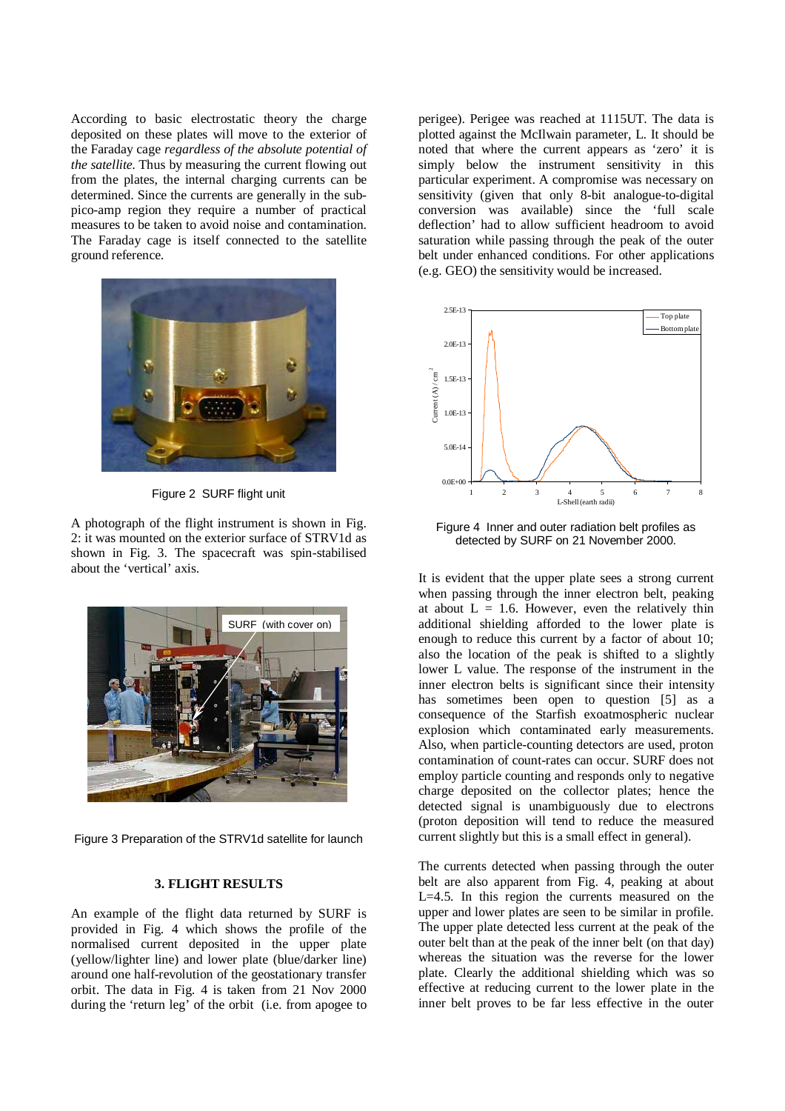According to basic electrostatic theory the charge deposited on these plates will move to the exterior of the Faraday cage *regardless of the absolute potential of the satellite.* Thus by measuring the current flowing out from the plates, the internal charging currents can be determined. Since the currents are generally in the subpico-amp region they require a number of practical measures to be taken to avoid noise and contamination. The Faraday cage is itself connected to the satellite ground reference.



Figure 2 SURF flight unit

A photograph of the flight instrument is shown in Fig. 2: it was mounted on the exterior surface of STRV1d as shown in Fig. 3. The spacecraft was spin-stabilised about the 'vertical' axis.



Figure 3 Preparation of the STRV1d satellite for launch

#### **3. FLIGHT RESULTS**

An example of the flight data returned by SURF is provided in Fig. 4 which shows the profile of the normalised current deposited in the upper plate (yellow/lighter line) and lower plate (blue/darker line) around one half-revolution of the geostationary transfer orbit. The data in Fig. 4 is taken from 21 Nov 2000 during the 'return leg' of the orbit (i.e. from apogee to perigee). Perigee was reached at 1115UT. The data is plotted against the McIlwain parameter, L. It should be noted that where the current appears as 'zero' it is simply below the instrument sensitivity in this particular experiment. A compromise was necessary on sensitivity (given that only 8-bit analogue-to-digital conversion was available) since the 'full scale deflection' had to allow sufficient headroom to avoid saturation while passing through the peak of the outer belt under enhanced conditions. For other applications (e.g. GEO) the sensitivity would be increased.



Figure 4 Inner and outer radiation belt profiles as detected by SURF on 21 November 2000.

It is evident that the upper plate sees a strong current when passing through the inner electron belt, peaking at about  $L = 1.6$ . However, even the relatively thin additional shielding afforded to the lower plate is enough to reduce this current by a factor of about 10; also the location of the peak is shifted to a slightly lower L value. The response of the instrument in the inner electron belts is significant since their intensity has sometimes been open to question [5] as a consequence of the Starfish exoatmospheric nuclear explosion which contaminated early measurements. Also, when particle-counting detectors are used, proton contamination of count-rates can occur. SURF does not employ particle counting and responds only to negative charge deposited on the collector plates; hence the detected signal is unambiguously due to electrons (proton deposition will tend to reduce the measured current slightly but this is a small effect in general).

The currents detected when passing through the outer belt are also apparent from Fig. 4, peaking at about L=4.5. In this region the currents measured on the upper and lower plates are seen to be similar in profile. The upper plate detected less current at the peak of the outer belt than at the peak of the inner belt (on that day) whereas the situation was the reverse for the lower plate. Clearly the additional shielding which was so effective at reducing current to the lower plate in the inner belt proves to be far less effective in the outer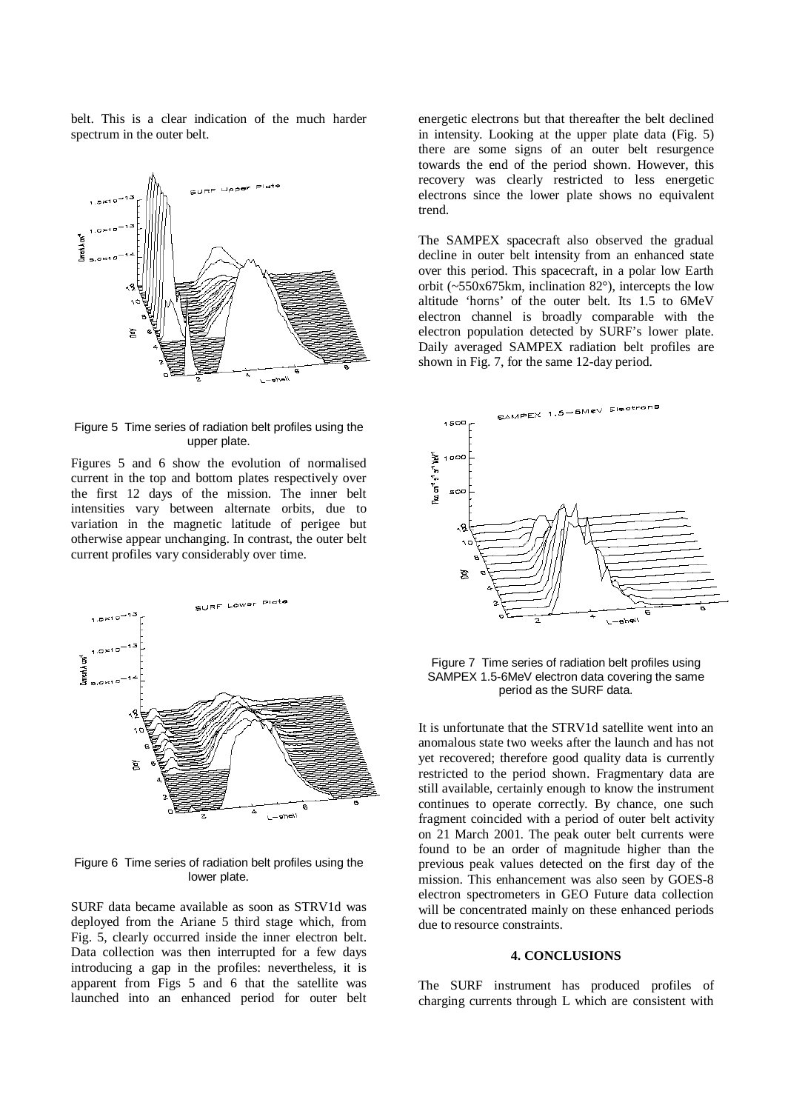belt. This is a clear indication of the much harder spectrum in the outer belt.



Figure 5 Time series of radiation belt profiles using the upper plate.

Figures 5 and 6 show the evolution of normalised current in the top and bottom plates respectively over the first 12 days of the mission. The inner belt intensities vary between alternate orbits, due to variation in the magnetic latitude of perigee but otherwise appear unchanging. In contrast, the outer belt current profiles vary considerably over time.



Figure 6 Time series of radiation belt profiles using the lower plate.

SURF data became available as soon as STRV1d was deployed from the Ariane 5 third stage which, from Fig. 5, clearly occurred inside the inner electron belt. Data collection was then interrupted for a few days introducing a gap in the profiles: nevertheless, it is apparent from Figs 5 and 6 that the satellite was launched into an enhanced period for outer belt energetic electrons but that thereafter the belt declined in intensity. Looking at the upper plate data (Fig. 5) there are some signs of an outer belt resurgence towards the end of the period shown. However, this recovery was clearly restricted to less energetic electrons since the lower plate shows no equivalent trend.

The SAMPEX spacecraft also observed the gradual decline in outer belt intensity from an enhanced state over this period. This spacecraft, in a polar low Earth orbit  $(-550x675km)$ , inclination 82°), intercepts the low altitude 'horns' of the outer belt. Its 1.5 to 6MeV electron channel is broadly comparable with the electron population detected by SURF's lower plate. Daily averaged SAMPEX radiation belt profiles are shown in Fig. 7, for the same 12-day period.



Figure 7 Time series of radiation belt profiles using SAMPEX 1.5-6MeV electron data covering the same period as the SURF data.

It is unfortunate that the STRV1d satellite went into an anomalous state two weeks after the launch and has not yet recovered; therefore good quality data is currently restricted to the period shown. Fragmentary data are still available, certainly enough to know the instrument continues to operate correctly. By chance, one such fragment coincided with a period of outer belt activity on 21 March 2001. The peak outer belt currents were found to be an order of magnitude higher than the previous peak values detected on the first day of the mission. This enhancement was also seen by GOES-8 electron spectrometers in GEO Future data collection will be concentrated mainly on these enhanced periods due to resource constraints.

#### **4. CONCLUSIONS**

The SURF instrument has produced profiles of charging currents through L which are consistent with